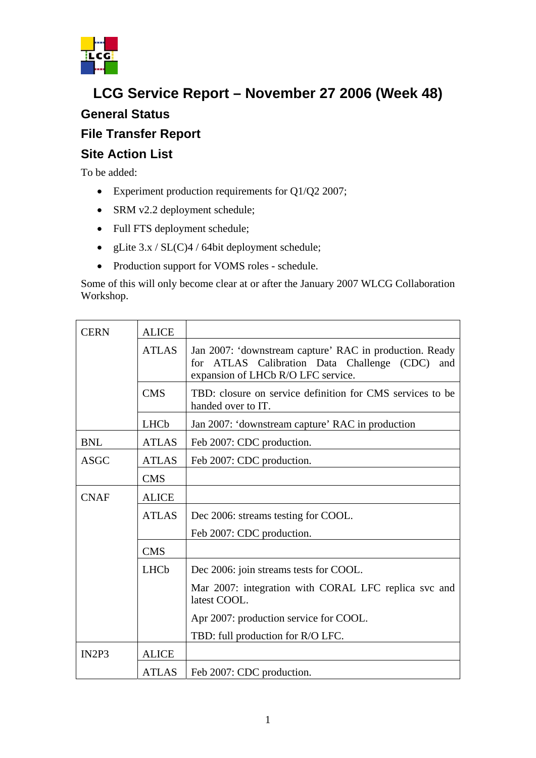

## **LCG Service Report – November 27 2006 (Week 48) General Status**

## **File Transfer Report**

## **Site Action List**

To be added:

- Experiment production requirements for Q1/Q2 2007;
- SRM v2.2 deployment schedule;
- Full FTS deployment schedule;
- gLite  $3.x / SL(C)4 / 64$ bit deployment schedule;
- Production support for VOMS roles schedule.

Some of this will only become clear at or after the January 2007 WLCG Collaboration Workshop.

| <b>CERN</b>                    | <b>ALICE</b> |                                                                                                                                                    |
|--------------------------------|--------------|----------------------------------------------------------------------------------------------------------------------------------------------------|
|                                | <b>ATLAS</b> | Jan 2007: 'downstream capture' RAC in production. Ready<br>for ATLAS Calibration Data Challenge (CDC)<br>and<br>expansion of LHCb R/O LFC service. |
|                                | <b>CMS</b>   | TBD: closure on service definition for CMS services to be<br>handed over to IT.                                                                    |
|                                | <b>LHCb</b>  | Jan 2007: 'downstream capture' RAC in production                                                                                                   |
| <b>BNL</b>                     | <b>ATLAS</b> | Feb 2007: CDC production.                                                                                                                          |
| <b>ASGC</b>                    | <b>ATLAS</b> | Feb 2007: CDC production.                                                                                                                          |
|                                | <b>CMS</b>   |                                                                                                                                                    |
| <b>CNAF</b>                    | <b>ALICE</b> |                                                                                                                                                    |
|                                | <b>ATLAS</b> | Dec 2006: streams testing for COOL.                                                                                                                |
|                                |              | Feb 2007: CDC production.                                                                                                                          |
|                                | <b>CMS</b>   |                                                                                                                                                    |
|                                | <b>LHCb</b>  | Dec 2006: join streams tests for COOL.                                                                                                             |
|                                |              | Mar 2007: integration with CORAL LFC replica svc and<br>latest COOL.                                                                               |
|                                |              | Apr 2007: production service for COOL.                                                                                                             |
|                                |              | TBD: full production for R/O LFC.                                                                                                                  |
| IN <sub>2</sub> P <sub>3</sub> | <b>ALICE</b> |                                                                                                                                                    |
|                                | <b>ATLAS</b> | Feb 2007: CDC production.                                                                                                                          |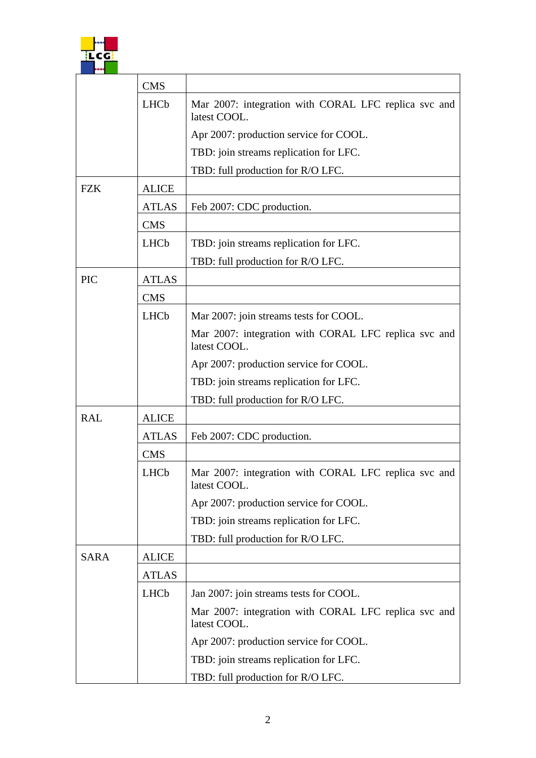

|             | <b>CMS</b>   |                                                                      |
|-------------|--------------|----------------------------------------------------------------------|
|             | <b>LHCb</b>  | Mar 2007: integration with CORAL LFC replica svc and<br>latest COOL. |
|             |              | Apr 2007: production service for COOL.                               |
|             |              | TBD: join streams replication for LFC.                               |
|             |              | TBD: full production for R/O LFC.                                    |
| <b>FZK</b>  | <b>ALICE</b> |                                                                      |
|             | <b>ATLAS</b> | Feb 2007: CDC production.                                            |
|             | <b>CMS</b>   |                                                                      |
|             | LHCb         | TBD: join streams replication for LFC.                               |
|             |              | TBD: full production for R/O LFC.                                    |
| <b>PIC</b>  | <b>ATLAS</b> |                                                                      |
|             | <b>CMS</b>   |                                                                      |
|             | <b>LHCb</b>  | Mar 2007: join streams tests for COOL.                               |
|             |              | Mar 2007: integration with CORAL LFC replica svc and<br>latest COOL. |
|             |              | Apr 2007: production service for COOL.                               |
|             |              | TBD: join streams replication for LFC.                               |
|             |              | TBD: full production for R/O LFC.                                    |
| <b>RAL</b>  | <b>ALICE</b> |                                                                      |
|             | <b>ATLAS</b> | Feb 2007: CDC production.                                            |
|             | <b>CMS</b>   |                                                                      |
|             | LHCb         | Mar 2007: integration with CORAL LFC replica svc and<br>latest COOL. |
|             |              | Apr 2007: production service for COOL.                               |
|             |              | TBD: join streams replication for LFC.                               |
|             |              | TBD: full production for R/O LFC.                                    |
| <b>SARA</b> | <b>ALICE</b> |                                                                      |
|             | <b>ATLAS</b> |                                                                      |
|             | <b>LHCb</b>  | Jan 2007: join streams tests for COOL.                               |
|             |              | Mar 2007: integration with CORAL LFC replica svc and<br>latest COOL. |
|             |              | Apr 2007: production service for COOL.                               |
|             |              | TBD: join streams replication for LFC.                               |
|             |              | TBD: full production for R/O LFC.                                    |